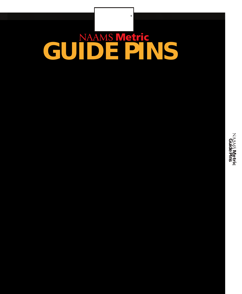